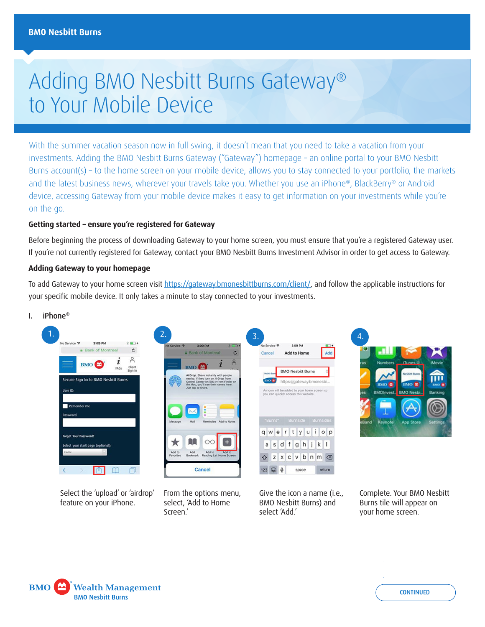# Adding BMO Nesbitt Burns Gateway® to Your Mobile Device

With the summer vacation season now in full swing, it doesn't mean that you need to take a vacation from your investments. Adding the BMO Nesbitt Burns Gateway ("Gateway") homepage – an online portal to your BMO Nesbitt Burns account(s) – to the home screen on your mobile device, allows you to stay connected to your portfolio, the markets and the latest business news, wherever your travels take you. Whether you use an iPhone®, BlackBerry® or Android device, accessing Gateway from your mobile device makes it easy to get information on your investments while you're on the go.

## **Getting started – ensure you're registered for Gateway**

Before beginning the process of downloading Gateway to your home screen, you must ensure that you're a registered Gateway user. If you're not currently registered for Gateway, contact your BMO Nesbitt Burns Investment Advisor in order to get access to Gateway.

### **Adding Gateway to your homepage**

To add Gateway to your home screen visit <https://gateway.bmonesbittburns.com/client/>, and follow the applicable instructions for your specific mobile device. It only takes a minute to stay connected to your investments.

#### I. iPhone®









Select the 'upload' or 'airdrop' feature on your iPhone.

From the options menu, select, 'Add to Home Screen.'

Give the icon a name (i.e., BMO Nesbitt Burns) and select 'Add.'

Complete. Your BMO Nesbitt Burns tile will appear on your home screen.